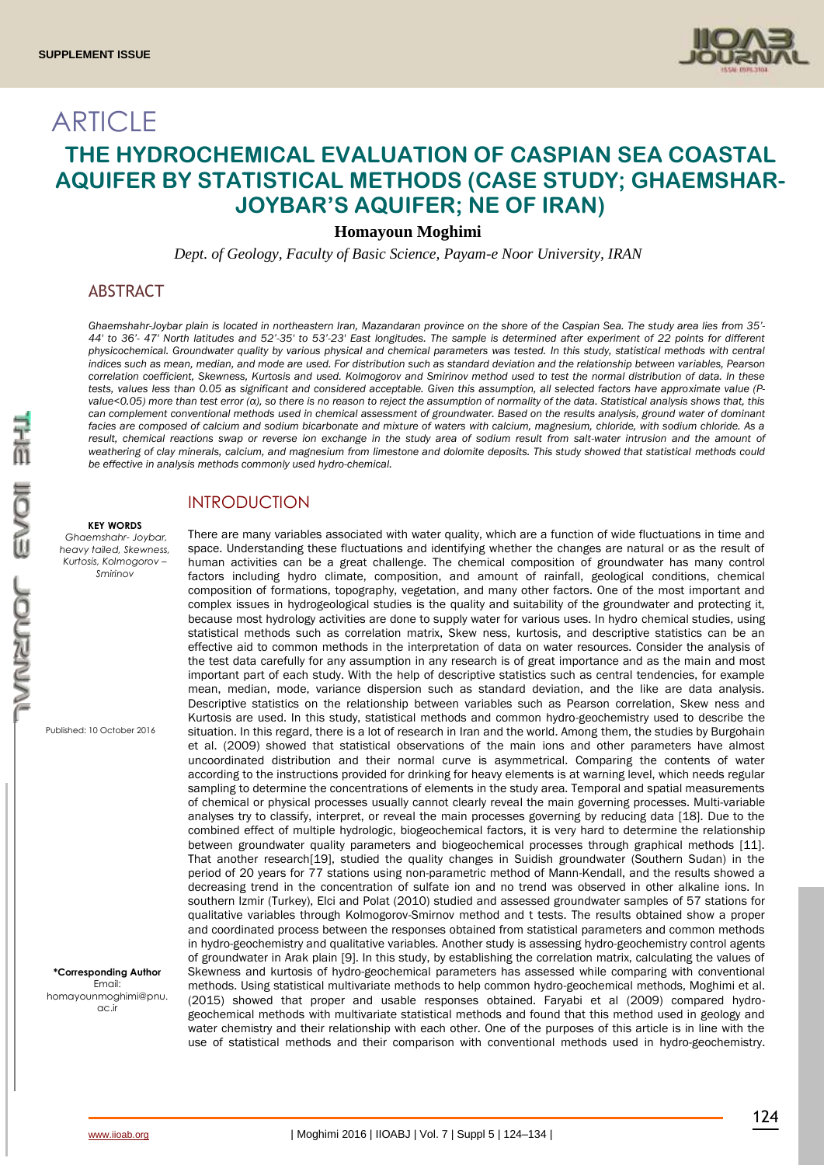

# ARTICLE **THE HYDROCHEMICAL EVALUATION OF CASPIAN SEA COASTAL AQUIFER BY STATISTICAL METHODS (CASE STUDY; GHAEMSHAR-JOYBAR'S AQUIFER; NE OF IRAN)**

## **Homayoun Moghimi**

*Dept. of Geology, Faculty of Basic Science, Payam-e Noor University, IRAN*

## ABSTRACT

*Ghaemshahr-Joybar plain is located in northeastern Iran, Mazandaran province on the shore of the Caspian Sea. The study area lies from 35'- 44' to 36'- 47' North latitudes and 52'-35' to 53'-23' East longitudes. The sample is determined after experiment of 22 points for different physicochemical. Groundwater quality by various physical and chemical parameters was tested. In this study, statistical methods with central indices such as mean, median, and mode are used. For distribution such as standard deviation and the relationship between variables, Pearson correlation coefficient, Skewness, Kurtosis and used. Kolmogorov and Smirinov method used to test the normal distribution of data. In these tests, values less than 0.05 as significant and considered acceptable. Given this assumption, all selected factors have approximate value (Pvalue<0.05) more than test error (α), so there is no reason to reject the assumption of normality of the data. Statistical analysis shows that, this*  can complement conventional methods used in chemical assessment of groundwater. Based on the results analysis, ground water of dominant *facies are composed of calcium and sodium bicarbonate and mixture of waters with calcium, magnesium, chloride, with sodium chloride. As a result, chemical reactions swap or reverse ion exchange in the study area of sodium result from salt-water intrusion and the amount of weathering of clay minerals, calcium, and magnesium from limestone and dolomite deposits. This study showed that statistical methods could be effective in analysis methods commonly used hydro-chemical.*

#### **KEY WORDS**

*Ghaemshahr- Joybar, heavy tailed, Skewness, Kurtosis, Kolmogorov – Smirinov*

Published: 10 October 2016

**\*Corresponding Author** Email: homayounmoghimi@pnu. ac.ir

## INTRODUCTION

There are many variables associated with water quality, which are a function of wide fluctuations in time and space. Understanding these fluctuations and identifying whether the changes are natural or as the result of human activities can be a great challenge. The chemical composition of groundwater has many control factors including hydro climate, composition, and amount of rainfall, geological conditions, chemical composition of formations, topography, vegetation, and many other factors. One of the most important and complex issues in hydrogeological studies is the quality and suitability of the groundwater and protecting it, because most hydrology activities are done to supply water for various uses. In hydro chemical studies, using statistical methods such as correlation matrix, Skew ness, kurtosis, and descriptive statistics can be an effective aid to common methods in the interpretation of data on water resources. Consider the analysis of the test data carefully for any assumption in any research is of great importance and as the main and most important part of each study. With the help of descriptive statistics such as central tendencies, for example mean, median, mode, variance dispersion such as standard deviation, and the like are data analysis. Descriptive statistics on the relationship between variables such as Pearson correlation, Skew ness and Kurtosis are used. In this study, statistical methods and common hydro-geochemistry used to describe the situation. In this regard, there is a lot of research in Iran and the world. Among them, the studies by Burgohain et al. (2009) showed that statistical observations of the main ions and other parameters have almost uncoordinated distribution and their normal curve is asymmetrical. Comparing the contents of water according to the instructions provided for drinking for heavy elements is at warning level, which needs regular sampling to determine the concentrations of elements in the study area. Temporal and spatial measurements of chemical or physical processes usually cannot clearly reveal the main governing processes. Multi-variable analyses try to classify, interpret, or reveal the main processes governing by reducing data [18]. Due to the combined effect of multiple hydrologic, biogeochemical factors, it is very hard to determine the relationship between groundwater quality parameters and biogeochemical processes through graphical methods [11]. That another research[19], studied the quality changes in Suidish groundwater (Southern Sudan) in the period of 20 years for 77 stations using non-parametric method of Mann-Kendall, and the results showed a decreasing trend in the concentration of sulfate ion and no trend was observed in other alkaline ions. In southern Izmir (Turkey), Elci and Polat (2010) studied and assessed groundwater samples of 57 stations for qualitative variables through Kolmogorov-Smirnov method and t tests. The results obtained show a proper and coordinated process between the responses obtained from statistical parameters and common methods in hydro-geochemistry and qualitative variables. Another study is assessing hydro-geochemistry control agents of groundwater in Arak plain [9]. In this study, by establishing the correlation matrix, calculating the values of Skewness and kurtosis of hydro-geochemical parameters has assessed while comparing with conventional methods. Using statistical multivariate methods to help common hydro-geochemical methods, Moghimi et al. (2015) showed that proper and usable responses obtained. Faryabi et al (2009) compared hydrogeochemical methods with multivariate statistical methods and found that this method used in geology and water chemistry and their relationship with each other. One of the purposes of this article is in line with the use of statistical methods and their comparison with conventional methods used in hydro-geochemistry.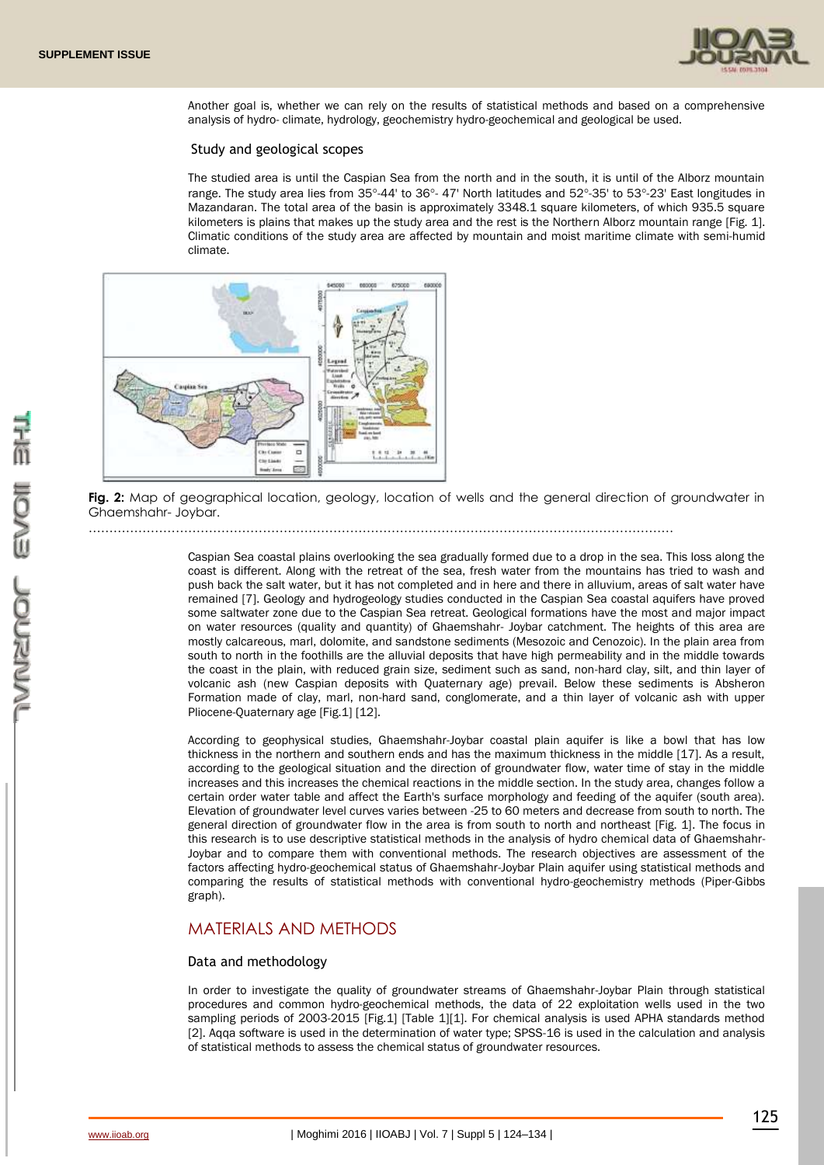

Another goal is, whether we can rely on the results of statistical methods and based on a comprehensive analysis of hydro- climate, hydrology, geochemistry hydro-geochemical and geological be used.

#### Study and geological scopes

The studied area is until the Caspian Sea from the north and in the south, it is until of the Alborz mountain range. The study area lies from 35°-44' to 36°- 47' North latitudes and 52°-35' to 53°-23' East longitudes in Mazandaran. The total area of the basin is approximately 3348.1 square kilometers, of which 935.5 square kilometers is plains that makes up the study area and the rest is the Northern Alborz mountain range [Fig. 1]. Climatic conditions of the study area are affected by mountain and moist maritime climate with semi-humid climate.



**Fig. 2:** Map of geographical location, geology, location of wells and the general direction of groundwater in Ghaemshahr- Joybar.

……………………………………………………………………………………………………………………………

Caspian Sea coastal plains overlooking the sea gradually formed due to a drop in the sea. This loss along the coast is different. Along with the retreat of the sea, fresh water from the mountains has tried to wash and push back the salt water, but it has not completed and in here and there in alluvium, areas of salt water have remained [7]. Geology and hydrogeology studies conducted in the Caspian Sea coastal aquifers have proved some saltwater zone due to the Caspian Sea retreat. Geological formations have the most and major impact on water resources (quality and quantity) of Ghaemshahr- Joybar catchment. The heights of this area are mostly calcareous, marl, dolomite, and sandstone sediments (Mesozoic and Cenozoic). In the plain area from south to north in the foothills are the alluvial deposits that have high permeability and in the middle towards the coast in the plain, with reduced grain size, sediment such as sand, non-hard clay, silt, and thin layer of volcanic ash (new Caspian deposits with Quaternary age) prevail. Below these sediments is Absheron Formation made of clay, marl, non-hard sand, conglomerate, and a thin layer of volcanic ash with upper Pliocene-Quaternary age [Fig.1] [12].

According to geophysical studies, Ghaemshahr-Joybar coastal plain aquifer is like a bowl that has low thickness in the northern and southern ends and has the maximum thickness in the middle [17]. As a result, according to the geological situation and the direction of groundwater flow, water time of stay in the middle increases and this increases the chemical reactions in the middle section. In the study area, changes follow a certain order water table and affect the Earth's surface morphology and feeding of the aquifer (south area). Elevation of groundwater level curves varies between -25 to 60 meters and decrease from south to north. The general direction of groundwater flow in the area is from south to north and northeast [Fig. 1]. The focus in this research is to use descriptive statistical methods in the analysis of hydro chemical data of Ghaemshahr-Joybar and to compare them with conventional methods. The research objectives are assessment of the factors affecting hydro-geochemical status of Ghaemshahr-Joybar Plain aquifer using statistical methods and comparing the results of statistical methods with conventional hydro-geochemistry methods (Piper-Gibbs graph).

## MATERIALS AND METHODS

#### Data and methodology

In order to investigate the quality of groundwater streams of Ghaemshahr-Joybar Plain through statistical procedures and common hydro-geochemical methods, the data of 22 exploitation wells used in the two sampling periods of 2003-2015 [Fig.1] [Table 1][1]. For chemical analysis is used APHA standards method [2]. Aqqa software is used in the determination of water type; SPSS-16 is used in the calculation and analysis of statistical methods to assess the chemical status of groundwater resources.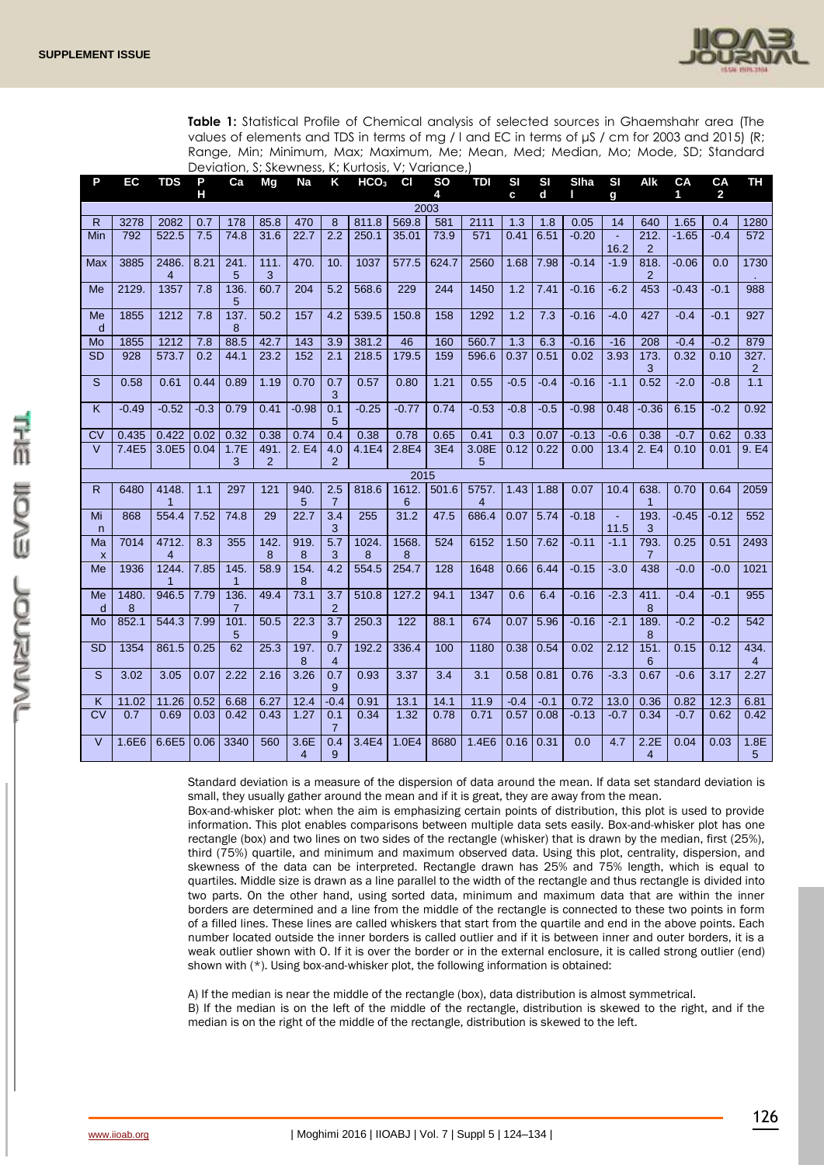

**Table 1:** Statistical Profile of Chemical analysis of selected sources in Ghaemshahr area (The values of elements and TDS in terms of mg / l and EC in terms of μS / cm for 2003 and 2015) (R; Range, Min; Minimum, Max; Maximum, Me; Mean, Med; Median, Mo; Mode, SD; Standard Deviation, S; Skewness, K; Kurtosis, V; Variance,)

| P                        | <b>EC</b>                                                                                                                          | <b>TDS</b>              | P                | Ca        | Mg        | <b>Na</b>              | K                     | HCO <sub>3</sub> | <b>CI</b>  | <b>SO</b> | <b>TDI</b>              | SI     | SI     | Slha    | SI               | Alk                    | CA      | CA           | <b>TH</b>           |
|--------------------------|------------------------------------------------------------------------------------------------------------------------------------|-------------------------|------------------|-----------|-----------|------------------------|-----------------------|------------------|------------|-----------|-------------------------|--------|--------|---------|------------------|------------------------|---------|--------------|---------------------|
|                          |                                                                                                                                    |                         | н                |           |           |                        |                       |                  |            | 4         |                         | C.     | d      |         | g                |                        | 1       | $\mathbf{2}$ |                     |
| R.                       | 2003<br>3278<br>2082<br>178<br>85.8<br>470<br>569.8<br>581<br>2111<br>0.05<br>1.65<br>0.7<br>8<br>811.8<br>1.3<br>1.8<br>14<br>640 |                         |                  |           |           |                        |                       |                  |            |           |                         |        | 0.4    | 1280    |                  |                        |         |              |                     |
| Min                      | 792                                                                                                                                | 522.5                   | 7.5              | 74.8      | 31.6      | 22.7                   | 2.2                   | 250.1            | 35.01      | 73.9      | 571                     | 0.41   | 6.51   | $-0.20$ |                  | 212.                   | $-1.65$ | $-0.4$       | 572                 |
|                          |                                                                                                                                    |                         |                  |           |           |                        |                       |                  |            |           |                         |        |        |         | 16.2             | $\overline{2}$         |         |              |                     |
| Max                      | 3885                                                                                                                               | 2486.<br>$\overline{4}$ | 8.21             | 241.<br>5 | 111.<br>3 | 470.                   | 10.                   | 1037             | 577.5      | 624.7     | 2560                    | 1.68   | 7.98   | $-0.14$ | $-1.9$           | 818.<br>$\overline{2}$ | $-0.06$ | 0.0          | 1730                |
| Me                       | 2129.                                                                                                                              | 1357                    | 7.8              | 136.<br>5 | 60.7      | 204                    | 5.2                   | 568.6            | 229        | 244       | 1450                    | 1.2    | 7.41   | $-0.16$ | $-6.2$           | 453                    | $-0.43$ | $-0.1$       | 988                 |
| Me<br>d                  | 1855                                                                                                                               | 1212                    | 7.8              | 137.<br>8 | 50.2      | 157                    | 4.2                   | 539.5            | 150.8      | 158       | 1292                    | 1.2    | 7.3    | $-0.16$ | $-4.0$           | 427                    | $-0.4$  | $-0.1$       | 927                 |
| Mo                       | 1855                                                                                                                               | 1212                    | 7.8              | 88.5      | 42.7      | 143                    | 3.9                   | 381.2            | 46         | 160       | 560.7                   | 1.3    | 6.3    | $-0.16$ | $-16$            | 208                    | $-0.4$  | $-0.2$       | 879                 |
| <b>SD</b>                | 928                                                                                                                                | 573.7                   | 0.2              | 44.1      | 23.2      | 152                    | 2.1                   | 218.5            | 179.5      | 159       | 596.6                   | 0.37   | 0.51   | 0.02    | 3.93             | 173.<br>3              | 0.32    | 0.10         | 327.<br>2           |
| S                        | 0.58                                                                                                                               | 0.61                    | 0.44             | 0.89      | 1.19      | 0.70                   | 0.7<br>3              | 0.57             | 0.80       | 1.21      | 0.55                    | $-0.5$ | $-0.4$ | $-0.16$ | $-1.1$           | 0.52                   | $-2.0$  | $-0.8$       | 1.1                 |
| K                        | $-0.49$                                                                                                                            | $-0.52$                 | $-0.3$           | 0.79      | 0.41      | $-0.98$                | 0.1<br>5              | $-0.25$          | $-0.77$    | 0.74      | $-0.53$                 | $-0.8$ | $-0.5$ | $-0.98$ | 0.48             | $-0.36$                | 6.15    | $-0.2$       | 0.92                |
| <b>CV</b>                | 0.435                                                                                                                              | 0.422                   | 0.02             | 0.32      | 0.38      | 0.74                   | 0.4                   | 0.38             | 0.78       | 0.65      | 0.41                    | 0.3    | 0.07   | $-0.13$ | $-0.6$           | 0.38                   | $-0.7$  | 0.62         | 0.33                |
| $\vee$                   | 7.4E5                                                                                                                              | 3.0E5                   | 0.04             | 1.7E<br>3 | 491.<br>2 | 2. E4                  | 4.0<br>$\overline{2}$ | 4.1E4            | 2.8E4      | 3E4       | 3.08E<br>5              | 0.12   | 0.22   | 0.00    | 13.4             | 2. E4                  | 0.10    | 0.01         | 9. E4               |
|                          | 2015                                                                                                                               |                         |                  |           |           |                        |                       |                  |            |           |                         |        |        |         |                  |                        |         |              |                     |
| R                        | 6480                                                                                                                               | 4148.<br>$\mathbf{1}$   | 1.1              | 297       | 121       | 940.<br>5              | 2.5<br>$\overline{7}$ | 818.6            | 1612.<br>6 | 501.6     | 5757.<br>$\overline{4}$ | 1.43   | 1.88   | 0.07    | 10.4             | 638.<br>$\mathbf{1}$   | 0.70    | 0.64         | 2059                |
| Mi<br>$\mathsf{n}$       | 868                                                                                                                                | 554.4                   | 7.52             | 74.8      | 29        | 22.7                   | 3.4<br>3              | 255              | 31.2       | 47.5      | 686.4                   | 0.07   | 5.74   | $-0.18$ | $\omega$<br>11.5 | 193.<br>3              | $-0.45$ | $-0.12$      | 552                 |
| Ma<br>$\pmb{\mathsf{x}}$ | 7014                                                                                                                               | 4712.<br>$\overline{4}$ | $\overline{8.3}$ | 355       | 142.<br>8 | 919.<br>8              | $\overline{5.7}$<br>3 | 1024.<br>8       | 1568.<br>8 | 524       | 6152                    | 1.50   | 7.62   | $-0.11$ | $-1.1$           | 793.<br>$\overline{7}$ | 0.25    | 0.51         | 2493                |
| Me                       | 1936                                                                                                                               | 1244.<br>1              | 7.85             | 145.<br>1 | 58.9      | 154.<br>8              | 4.2                   | 554.5            | 254.7      | 128       | 1648                    | 0.66   | 6.44   | $-0.15$ | $-3.0$           | 438                    | $-0.0$  | $-0.0$       | 1021                |
| Me<br>d                  | 1480.<br>8                                                                                                                         | 946.5                   | 7.79             | 136.<br>7 | 49.4      | 73.1                   | 3.7<br>2              | 510.8            | 127.2      | 94.1      | 1347                    | 0.6    | 6.4    | $-0.16$ | $-2.3$           | 411.<br>8              | $-0.4$  | $-0.1$       | $\overline{955}$    |
| Mo                       | 852.1                                                                                                                              | 544.3                   | 7.99             | 101.<br>5 | 50.5      | 22.3                   | 3.7<br>9              | 250.3            | 122        | 88.1      | 674                     | 0.07   | 5.96   | $-0.16$ | $-2.1$           | 189.<br>8              | $-0.2$  | $-0.2$       | 542                 |
| <b>SD</b>                | 1354                                                                                                                               | 861.5                   | 0.25             | 62        | 25.3      | 197.<br>8              | 0.7<br>4              | 192.2            | 336.4      | 100       | 1180                    | 0.38   | 0.54   | 0.02    | 2.12             | 151.<br>6              | 0.15    | 0.12         | 434.<br>4           |
| S                        | 3.02                                                                                                                               | 3.05                    | 0.07             | 2.22      | 2.16      | 3.26                   | 0.7<br>9              | 0.93             | 3.37       | 3.4       | 3.1                     | 0.58   | 0.81   | 0.76    | $-3.3$           | 0.67                   | $-0.6$  | 3.17         | 2.27                |
| K                        | 11.02                                                                                                                              | 11.26                   | 0.52             | 6.68      | 6.27      | 12.4                   | $-0.4$                | 0.91             | 13.1       | 14.1      | 11.9                    | $-0.4$ | $-0.1$ | 0.72    | 13.0             | 0.36                   | 0.82    | 12.3         | 6.81                |
| $\overline{\text{cv}}$   | 0.7                                                                                                                                | 0.69                    | 0.03             | 0.42      | 0.43      | 1.27                   | 0.1<br>$\overline{7}$ | 0.34             | 1.32       | 0.78      | 0.71                    | 0.57   | 0.08   | $-0.13$ | $-0.7$           | 0.34                   | $-0.7$  | 0.62         | 0.42                |
| $\vee$                   | 1.6E6                                                                                                                              | 6.6E5                   | 0.06             | 3340      | 560       | 3.6E<br>$\overline{4}$ | 0.4<br>9              | 3.4E4            | 1.0E4      | 8680      | 1.4E6                   | 0.16   | 0.31   | 0.0     | 4.7              | 2.2E<br>$\overline{4}$ | 0.04    | 0.03         | 1.8E<br>$5^{\circ}$ |

Standard deviation is a measure of the dispersion of data around the mean. If data set standard deviation is small, they usually gather around the mean and if it is great, they are away from the mean.

Box-and-whisker plot: when the aim is emphasizing certain points of distribution, this plot is used to provide information. This plot enables comparisons between multiple data sets easily. Box-and-whisker plot has one rectangle (box) and two lines on two sides of the rectangle (whisker) that is drawn by the median, first (25%), third (75%) quartile, and minimum and maximum observed data. Using this plot, centrality, dispersion, and skewness of the data can be interpreted. Rectangle drawn has 25% and 75% length, which is equal to quartiles. Middle size is drawn as a line parallel to the width of the rectangle and thus rectangle is divided into two parts. On the other hand, using sorted data, minimum and maximum data that are within the inner borders are determined and a line from the middle of the rectangle is connected to these two points in form of a filled lines. These lines are called whiskers that start from the quartile and end in the above points. Each number located outside the inner borders is called outlier and if it is between inner and outer borders, it is a weak outlier shown with O. If it is over the border or in the external enclosure, it is called strong outlier (end) shown with (\*). Using box-and-whisker plot, the following information is obtained:

A) If the median is near the middle of the rectangle (box), data distribution is almost symmetrical.

B) If the median is on the left of the middle of the rectangle, distribution is skewed to the right, and if the median is on the right of the middle of the rectangle, distribution is skewed to the left.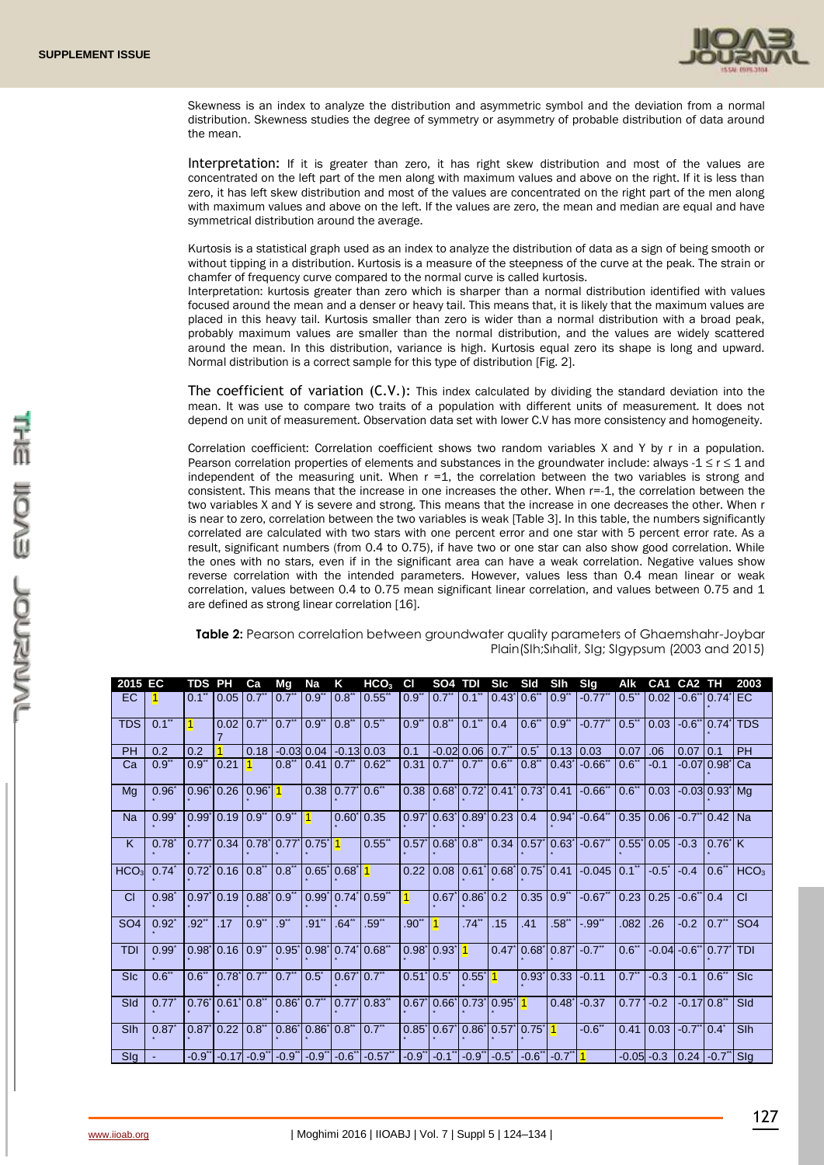

Skewness is an index to analyze the distribution and asymmetric symbol and the deviation from a normal distribution. Skewness studies the degree of symmetry or asymmetry of probable distribution of data around the mean.

Interpretation: If it is greater than zero, it has right skew distribution and most of the values are concentrated on the left part of the men along with maximum values and above on the right. If it is less than zero, it has left skew distribution and most of the values are concentrated on the right part of the men along with maximum values and above on the left. If the values are zero, the mean and median are equal and have symmetrical distribution around the average.

Kurtosis is a statistical graph used as an index to analyze the distribution of data as a sign of being smooth or without tipping in a distribution. Kurtosis is a measure of the steepness of the curve at the peak. The strain or chamfer of frequency curve compared to the normal curve is called kurtosis.

Interpretation: kurtosis greater than zero which is sharper than a normal distribution identified with values focused around the mean and a denser or heavy tail. This means that, it is likely that the maximum values are placed in this heavy tail. Kurtosis smaller than zero is wider than a normal distribution with a broad peak, probably maximum values are smaller than the normal distribution, and the values are widely scattered around the mean. In this distribution, variance is high. Kurtosis equal zero its shape is long and upward. Normal distribution is a correct sample for this type of distribution [Fig. 2].

The coefficient of variation  $(C.V.)$ : This index calculated by dividing the standard deviation into the mean. It was use to compare two traits of a population with different units of measurement. It does not depend on unit of measurement. Observation data set with lower C.V has more consistency and homogeneity.

Correlation coefficient: Correlation coefficient shows two random variables X and Y by r in a population. Pearson correlation properties of elements and substances in the groundwater include: always -1  $\leq$  r  $\leq$  1 and independent of the measuring unit. When  $r = 1$ , the correlation between the two variables is strong and consistent. This means that the increase in one increases the other. When r=-1, the correlation between the two variables X and Y is severe and strong. This means that the increase in one decreases the other. When r is near to zero, correlation between the two variables is weak [Table 3]. In this table, the numbers significantly correlated are calculated with two stars with one percent error and one star with 5 percent error rate. As a result, significant numbers (from 0.4 to 0.75), if have two or one star can also show good correlation. While the ones with no stars, even if in the significant area can have a weak correlation. Negative values show reverse correlation with the intended parameters. However, values less than 0.4 mean linear or weak correlation, values between 0.4 to 0.75 mean significant linear correlation, and values between 0.75 and 1 are defined as strong linear correlation [16].

**Table 2:** Pearson correlation between groundwater quality parameters of Ghaemshahr-Joybar Plain(SIh;Sıhalit, SIg; SIgypsum (2003 and 2015)

| 2015 EC          |            | <b>TDS PH</b> |                                               | Сa   | Mq                                     | Na                        | Κ                                              | HCO <sub>3</sub>                                                                                                                           | <b>CI</b>                                  | SO <sub>4</sub>                           | TDI                                             | <b>SIC</b>        | Sld                                       | <b>SIh</b>                | Sig                                                                              | Alk                 | CA1            | CA <sub>2</sub>                                | тн                        | 2003             |
|------------------|------------|---------------|-----------------------------------------------|------|----------------------------------------|---------------------------|------------------------------------------------|--------------------------------------------------------------------------------------------------------------------------------------------|--------------------------------------------|-------------------------------------------|-------------------------------------------------|-------------------|-------------------------------------------|---------------------------|----------------------------------------------------------------------------------|---------------------|----------------|------------------------------------------------|---------------------------|------------------|
| EC.              |            | $0.1^{n}$     | $0.05$ $0.7$ "                                |      | $0.7"$ $0.9"$                          |                           | $\vert 0.8 \vert$                              | $0.55^*$                                                                                                                                   | 0.9"                                       | $0.7$ " $0.1$ "                           |                                                 | 0.43 0.6"         |                                           | $10.9^{\circ}$            | $-0.77$ <sup>**</sup>                                                            | $0.5^\circ$         |                | 0.02 -0.6 do.74 EC                             |                           |                  |
| <b>TDS</b>       | $0.1$ "    | $\vert$ 1     | $0.02$ 0.7 <sup>**</sup>                      |      |                                        | $0.7"$ $0.9"$ $0.8"$      |                                                | $0.5$ **                                                                                                                                   | $0.9^{**}$                                 | 0.8"                                      | $0.1$ <sup>**</sup>                             | 0.4               | 0.6"                                      | $\overline{0.9}$          | $-0.77$                                                                          | $0.5^{\circ}$       |                | $0.03 - 0.6"$                                  | $0.74$ <sup>-1</sup>      | <b>TDS</b>       |
| <b>PH</b>        | 0.2        | 0.2           |                                               | 0.18 |                                        | $-0.03$ 0.04 $-0.13$ 0.03 |                                                |                                                                                                                                            | 0.1                                        |                                           | $-0.02$ 0.06 0.7 <sup>**</sup> 0.5 <sup>*</sup> |                   |                                           | 0.13                      | 0.03                                                                             | 0.07                | .06            | $0.07$ 0.1                                     |                           | PH               |
| Ca               | 0.9"       | $0.9^{**}$    | 0.21                                          |      | $0.8$                                  |                           |                                                | 0.41 0.7" 0.62"                                                                                                                            | 0.31                                       | $0.7$ " $0.7$ "                           |                                                 | 0.6" 0.8"         |                                           |                           | $ 0.43 $ -0.66 <sup>**</sup>                                                     | 0.6"                | $-0.1$         |                                                | $-0.07$ 0.98 $\degree$ Ca |                  |
| Mg               | $0.96*$    |               | $0.96$   $0.26$   $0.96$   $1$                |      |                                        |                           | $0.38$ $0.77$ <sup>*</sup> $0.6$ <sup>**</sup> |                                                                                                                                            | 0.38                                       |                                           |                                                 |                   |                                           |                           | $0.68$   $0.72$   $0.41$   $0.73$   $0.41$   $-0.66$ $\degree$   $0.6$ $\degree$ |                     |                | $\vert 0.03 \vert$ -0.03 0.93 Mq               |                           |                  |
| Na               | $0.99^*$   |               | $0.99$ <sup>*</sup> $0.19$ $0.9$ <sup>*</sup> |      | $0.9^{**}$ 1                           |                           | $0.60^{*}$ 0.35                                |                                                                                                                                            |                                            | $0.97$   $0.63$   $0.89$   $0.23$   $0.4$ |                                                 |                   |                                           |                           | $ 0.94 $ -0.64" $ 0.35 0.06 $ -0.7" 0.42 Na                                      |                     |                |                                                |                           |                  |
| K                | $0.78^{*}$ |               |                                               |      | $0.77$ $0.34$ $0.78$ $0.77$ $0.75$ $1$ |                           |                                                | 0.55                                                                                                                                       |                                            | $0.57$ 0.68 $0.8$ "                       |                                                 |                   |                                           |                           | $\vert 0.34 \vert 0.57 \vert 0.63 \vert -0.67 \vert 0.55 \vert 0.05 \vert$       |                     |                | $-0.3$                                         | $0.76$ <sup>'</sup> K     |                  |
| HCO <sub>3</sub> | $0.74^*$   |               | $0.72$ 0.16 0.8"                              |      | $0.8$ <sup>**</sup>                    | $ 0.65 0.68 $ 1           |                                                |                                                                                                                                            |                                            |                                           |                                                 |                   | $0.22$ $0.08$ $0.61$ $0.68$ $0.75$ $0.41$ |                           | $-0.045$ $0.1$ "                                                                 |                     | $-0.5^{\circ}$ | $-0.4$                                         | 0.6"                      | HCO <sub>3</sub> |
| CI               | $0.98^*$   |               | $0.97$   $0.19$   $0.88$   $0.9$ "            |      |                                        |                           |                                                | 0.99 0.74 0.59"                                                                                                                            | $\vert$ 1                                  |                                           | $0.67$ 0.86 0.2                                 |                   | $0.35$ $0.9$ <sup>**</sup>                |                           | $-0.67$ " 0.23                                                                   |                     | 0.25           | $-0.6$ " $0.4$                                 |                           | CI               |
| SO <sub>4</sub>  | $0.92^*$   | $.92^{**}$    | .17                                           | 0.9" | .9                                     | $.91$ <sup>**</sup>       | $.64$ <sup>**</sup>                            | .59"                                                                                                                                       | $.90^*$                                    | $\overline{1}$                            | $.74$ <sup>**</sup>                             | .15               | .41                                       | .58"                      | $-.99"$                                                                          | .082                | .26            | $-0.2$                                         | $0.7$ <sup>**</sup>       | SO <sub>4</sub>  |
| <b>TDI</b>       | $0.99^*$   |               | $0.98$ 0.16 0.9 <sup>**</sup>                 |      |                                        |                           |                                                | $0.95$   $0.98$   $0.74$   $0.68$ "                                                                                                        |                                            | $ 0.98 0.93 $ 1                           |                                                 |                   |                                           |                           | $ 0.47 0.68 0.87 $ -0.7 <sup>**</sup>                                            | 0.6"                |                | $-0.04$ $-0.6$ " 0.77 TDI                      |                           |                  |
| <b>SIc</b>       | 0.6"       |               | $0.6"$ 0.78 0.7"                              |      |                                        |                           |                                                | $0.7$ " $0.5$ " $0.67$ " $0.7$ "                                                                                                           | $0.51$ $0.5$ $*$                           |                                           | $0.55^{*}$ 1                                    |                   |                                           |                           | $0.93$   $0.33$   $-0.11$                                                        | 0.7"                | $-0.3$         | $-0.1$                                         | $0.6$ <sup>**</sup>       | SIc              |
| Sld              | 0.77       |               |                                               |      |                                        |                           |                                                | $0.76$ <sup>*</sup> $0.61$ <sup>*</sup> $0.8$ <sup>*</sup> $0.86$ <sup>*</sup> $0.7$ <sup>*</sup> $0.77$ <sup>*</sup> $0.83$ <sup>**</sup> | 0.67   0.66   0.73   0.95   <mark>1</mark> |                                           |                                                 |                   |                                           |                           | $ 0.48 $ - 0.37                                                                  | $0.77$ <sup>*</sup> | $1 - 0.2$      | $-0.17$ $0.8$ <sup>**</sup>                    |                           | <b>SId</b>       |
| Slh              | $0.87^*$   |               | $0.87$ 0.22 0.8"                              |      | $0.86$ $0.86$ $0.8$ " $0.7$ "          |                           |                                                |                                                                                                                                            |                                            |                                           |                                                 |                   | $0.85$ 0.67 $0.86$ 0.57 $0.75$   1        |                           | $-0.6$ <sup>**</sup>                                                             |                     |                | $0.41$ 0.03 -0.7 <sup>*</sup> 0.4 <sup>*</sup> |                           | Slh              |
| Slg              |            |               | $-0.9$ " $-0.17$ $-0.9$ "                     |      |                                        |                           |                                                | $-0.9$ " $-0.9$ " $-0.6$ " $-0.57$ "                                                                                                       | $-0.9$                                     | $-0.1$ <sup>**</sup>                      |                                                 | $-0.9$ " $-0.5$ " |                                           | $-0.6^{**}$ $-0.7^{**}$ 1 |                                                                                  | $-0.05 - 0.3$       |                | $0.24 - 0.7$ " Slg                             |                           |                  |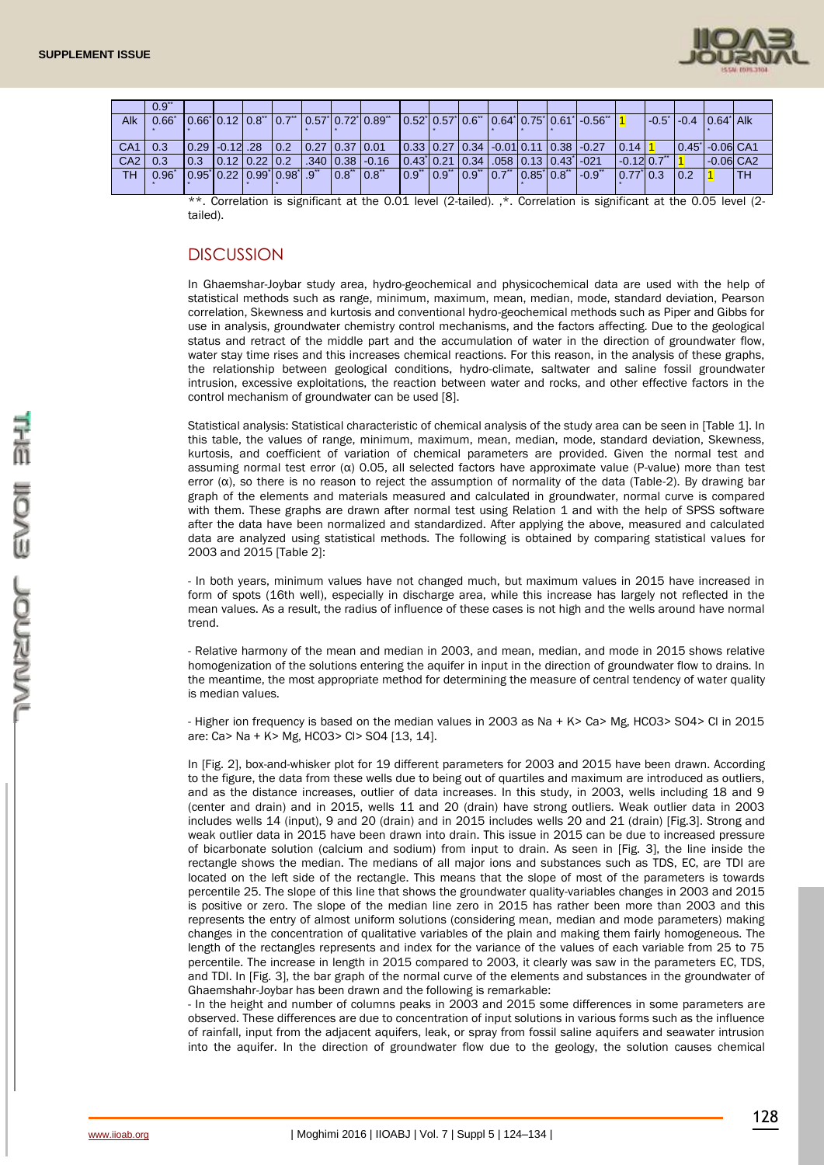

|                 | 0.9            |                                                         |                                                          |           |                                                                                                                                                                                                                                                                                                                                                               |                                                                                 |  |  |                                                                                |                           |                              |                         |           |
|-----------------|----------------|---------------------------------------------------------|----------------------------------------------------------|-----------|---------------------------------------------------------------------------------------------------------------------------------------------------------------------------------------------------------------------------------------------------------------------------------------------------------------------------------------------------------------|---------------------------------------------------------------------------------|--|--|--------------------------------------------------------------------------------|---------------------------|------------------------------|-------------------------|-----------|
| Alk             | $0.66^{\circ}$ |                                                         |                                                          |           | $\vert 0.66 \vert 0.12 \vert 0.8 \vert 0.7 \vert 0.57 \vert 0.72 \vert 0.89 \vert 0.12 \vert 0.12 \vert 0.12 \vert 0.12 \vert 0.12 \vert 0.12 \vert 0.12 \vert 0.12 \vert 0.12 \vert 0.12 \vert 0.12 \vert 0.12 \vert 0.12 \vert 0.12 \vert 0.12 \vert 0.12 \vert 0.12 \vert 0.12 \vert 0.12 \vert 0.12 \vert 0.12 \vert 0.12 \vert 0.12 \vert 0.12 \vert 0.$ |                                                                                 |  |  | 0.52 0.57 0.6" 0.64 0.75 0.61 0.56"                                            |                           | l -0.5 î l -0.4   0.64 î Alk |                         |           |
|                 |                |                                                         |                                                          |           |                                                                                                                                                                                                                                                                                                                                                               |                                                                                 |  |  |                                                                                |                           |                              |                         |           |
| CA <sub>1</sub> | 0.3            | l 0.29 l -0.12l .28                                     | $\begin{bmatrix} 0.2 & 0.27 & 0.37 & 0.01 \end{bmatrix}$ |           |                                                                                                                                                                                                                                                                                                                                                               |                                                                                 |  |  | $\vert 0.33 \vert 0.27 \vert 0.34 \vert 0.01 \vert 0.11 \vert 0.38 \vert 0.27$ | $10.14$ 1                 | 0.45 - 0.06 CA1              |                         |           |
| CA <sub>2</sub> | 0.3            | $\begin{bmatrix} 0.3 & 0.12 & 0.22 & 0.2 \end{bmatrix}$ |                                                          |           | $.340$ $.038$ $-.0.16$                                                                                                                                                                                                                                                                                                                                        | $\vert 0.43 \vert 0.21 \vert 0.34 \vert 0.058 \vert 0.13 \vert 0.43 \vert 0.21$ |  |  |                                                                                | $-0.12$ 0.7 <sup>**</sup> |                              | $-0.06$ CA <sub>2</sub> |           |
| TH              | $0.96^\ast$    | 0.95 0.22 0.99 0.98 .9"                                 |                                                          | 0.8" 0.8" |                                                                                                                                                                                                                                                                                                                                                               |                                                                                 |  |  | 0.9"   0.9"   0.9"   0.7"   0.85*  0.8"   -0.9"                                | 0.77 0.3 0.2              |                              |                         | <b>TH</b> |
|                 |                |                                                         |                                                          |           |                                                                                                                                                                                                                                                                                                                                                               |                                                                                 |  |  |                                                                                |                           |                              |                         |           |
|                 |                |                                                         |                                                          |           | $**$ Correlation is similizant at the 0.01 level (2 tailed) $*$ Correlation is similizant at the 0.05 level (2                                                                                                                                                                                                                                                |                                                                                 |  |  |                                                                                |                           |                              |                         |           |

Correlation is significant at the 0.01 level (2-tailed). ,\*. Correlation is significant at the 0.05 level (2 tailed).

## **DISCUSSION**

In Ghaemshar-Joybar study area, hydro-geochemical and physicochemical data are used with the help of statistical methods such as range, minimum, maximum, mean, median, mode, standard deviation, Pearson correlation, Skewness and kurtosis and conventional hydro-geochemical methods such as Piper and Gibbs for use in analysis, groundwater chemistry control mechanisms, and the factors affecting. Due to the geological status and retract of the middle part and the accumulation of water in the direction of groundwater flow, water stay time rises and this increases chemical reactions. For this reason, in the analysis of these graphs, the relationship between geological conditions, hydro-climate, saltwater and saline fossil groundwater intrusion, excessive exploitations, the reaction between water and rocks, and other effective factors in the control mechanism of groundwater can be used [8].

Statistical analysis: Statistical characteristic of chemical analysis of the study area can be seen in [Table 1]. In this table, the values of range, minimum, maximum, mean, median, mode, standard deviation, Skewness, kurtosis, and coefficient of variation of chemical parameters are provided. Given the normal test and assuming normal test error (α) 0.05, all selected factors have approximate value (P-value) more than test error (α), so there is no reason to reject the assumption of normality of the data (Table-2). By drawing bar graph of the elements and materials measured and calculated in groundwater, normal curve is compared with them. These graphs are drawn after normal test using Relation 1 and with the help of SPSS software after the data have been normalized and standardized. After applying the above, measured and calculated data are analyzed using statistical methods. The following is obtained by comparing statistical values for 2003 and 2015 [Table 2]:

- In both years, minimum values have not changed much, but maximum values in 2015 have increased in form of spots (16th well), especially in discharge area, while this increase has largely not reflected in the mean values. As a result, the radius of influence of these cases is not high and the wells around have normal trend.

- Relative harmony of the mean and median in 2003, and mean, median, and mode in 2015 shows relative homogenization of the solutions entering the aquifer in input in the direction of groundwater flow to drains. In the meantime, the most appropriate method for determining the measure of central tendency of water quality is median values.

- Higher ion frequency is based on the median values in 2003 as Na + K> Ca> Mg, HCO3> SO4> Cl in 2015 are: Ca> Na + K> Mg, HCO3> Cl> SO4 [13, 14].

In [Fig. 2], box-and-whisker plot for 19 different parameters for 2003 and 2015 have been drawn. According to the figure, the data from these wells due to being out of quartiles and maximum are introduced as outliers, and as the distance increases, outlier of data increases. In this study, in 2003, wells including 18 and 9 (center and drain) and in 2015, wells 11 and 20 (drain) have strong outliers. Weak outlier data in 2003 includes wells 14 (input), 9 and 20 (drain) and in 2015 includes wells 20 and 21 (drain) [Fig.3]. Strong and weak outlier data in 2015 have been drawn into drain. This issue in 2015 can be due to increased pressure of bicarbonate solution (calcium and sodium) from input to drain. As seen in [Fig. 3], the line inside the rectangle shows the median. The medians of all major ions and substances such as TDS, EC, are TDI are located on the left side of the rectangle. This means that the slope of most of the parameters is towards percentile 25. The slope of this line that shows the groundwater quality-variables changes in 2003 and 2015 is positive or zero. The slope of the median line zero in 2015 has rather been more than 2003 and this represents the entry of almost uniform solutions (considering mean, median and mode parameters) making changes in the concentration of qualitative variables of the plain and making them fairly homogeneous. The length of the rectangles represents and index for the variance of the values of each variable from 25 to 75 percentile. The increase in length in 2015 compared to 2003, it clearly was saw in the parameters EC, TDS, and TDI. In [Fig. 3], the bar graph of the normal curve of the elements and substances in the groundwater of Ghaemshahr-Joybar has been drawn and the following is remarkable:

- In the height and number of columns peaks in 2003 and 2015 some differences in some parameters are observed. These differences are due to concentration of input solutions in various forms such as the influence of rainfall, input from the adjacent aquifers, leak, or spray from fossil saline aquifers and seawater intrusion into the aquifer. In the direction of groundwater flow due to the geology, the solution causes chemical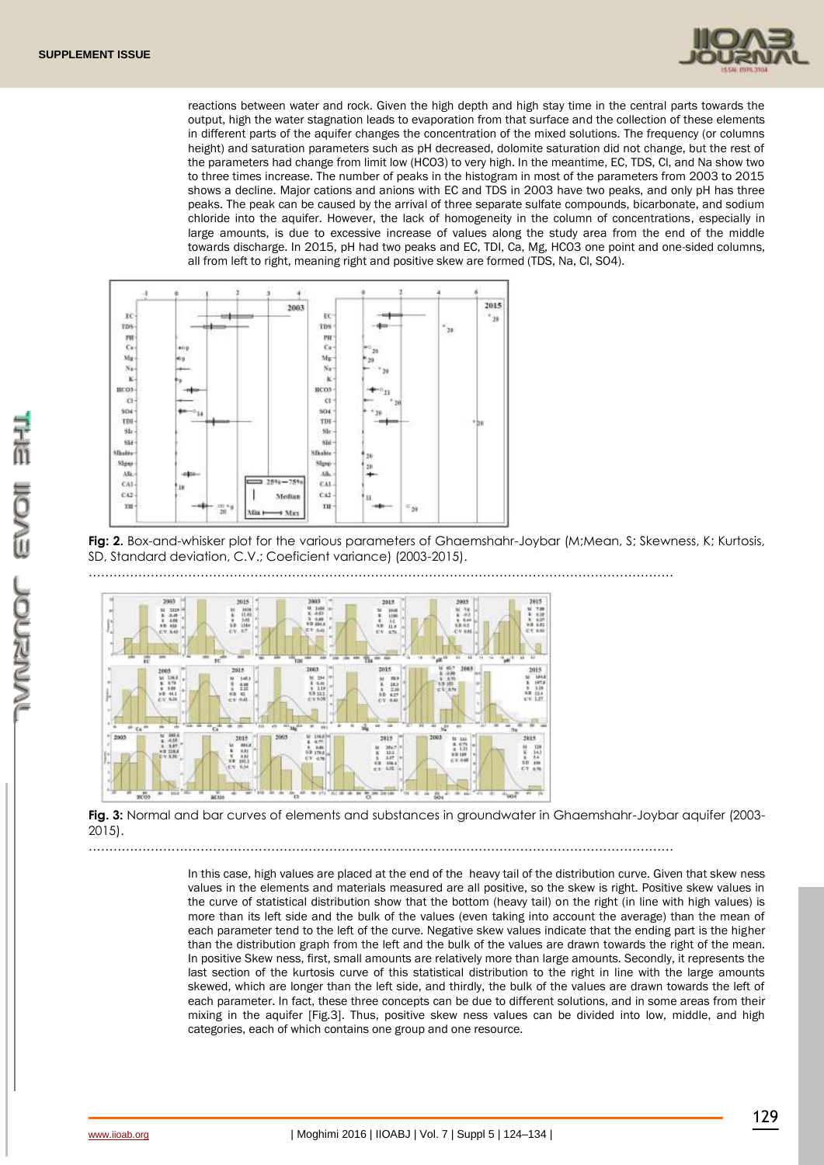

reactions between water and rock. Given the high depth and high stay time in the central parts towards the output, high the water stagnation leads to evaporation from that surface and the collection of these elements in different parts of the aquifer changes the concentration of the mixed solutions. The frequency (or columns height) and saturation parameters such as pH decreased, dolomite saturation did not change, but the rest of the parameters had change from limit low (HCO3) to very high. In the meantime, EC, TDS, Cl, and Na show two to three times increase. The number of peaks in the histogram in most of the parameters from 2003 to 2015 shows a decline. Major cations and anions with EC and TDS in 2003 have two peaks, and only pH has three peaks. The peak can be caused by the arrival of three separate sulfate compounds, bicarbonate, and sodium chloride into the aquifer. However, the lack of homogeneity in the column of concentrations, especially in large amounts, is due to excessive increase of values along the study area from the end of the middle towards discharge. In 2015, pH had two peaks and EC, TDI, Ca, Mg, HCO3 one point and one-sided columns, all from left to right, meaning right and positive skew are formed (TDS, Na, Cl, SO4).



……………………………………………………………………………………………………………………………

Fig: 2. Box-and-whisker plot for the various parameters of Ghaemshahr-Joybar (M;Mean, S; Skewness, K; Kurtosis, SD, Standard deviation, C.V.; Coeficient variance) (2003-2015).



**Fig. 3:** Normal and bar curves of elements and substances in groundwater in Ghaemshahr-Joybar aquifer (2003- 2015).

……………………………………………………………………………………………………………………………

In this case, high values are placed at the end of the heavy tail of the distribution curve. Given that skew ness values in the elements and materials measured are all positive, so the skew is right. Positive skew values in the curve of statistical distribution show that the bottom (heavy tail) on the right (in line with high values) is more than its left side and the bulk of the values (even taking into account the average) than the mean of each parameter tend to the left of the curve. Negative skew values indicate that the ending part is the higher than the distribution graph from the left and the bulk of the values are drawn towards the right of the mean. In positive Skew ness, first, small amounts are relatively more than large amounts. Secondly, it represents the last section of the kurtosis curve of this statistical distribution to the right in line with the large amounts skewed, which are longer than the left side, and thirdly, the bulk of the values are drawn towards the left of each parameter. In fact, these three concepts can be due to different solutions, and in some areas from their mixing in the aquifer [Fig.3]. Thus, positive skew ness values can be divided into low, middle, and high categories, each of which contains one group and one resource.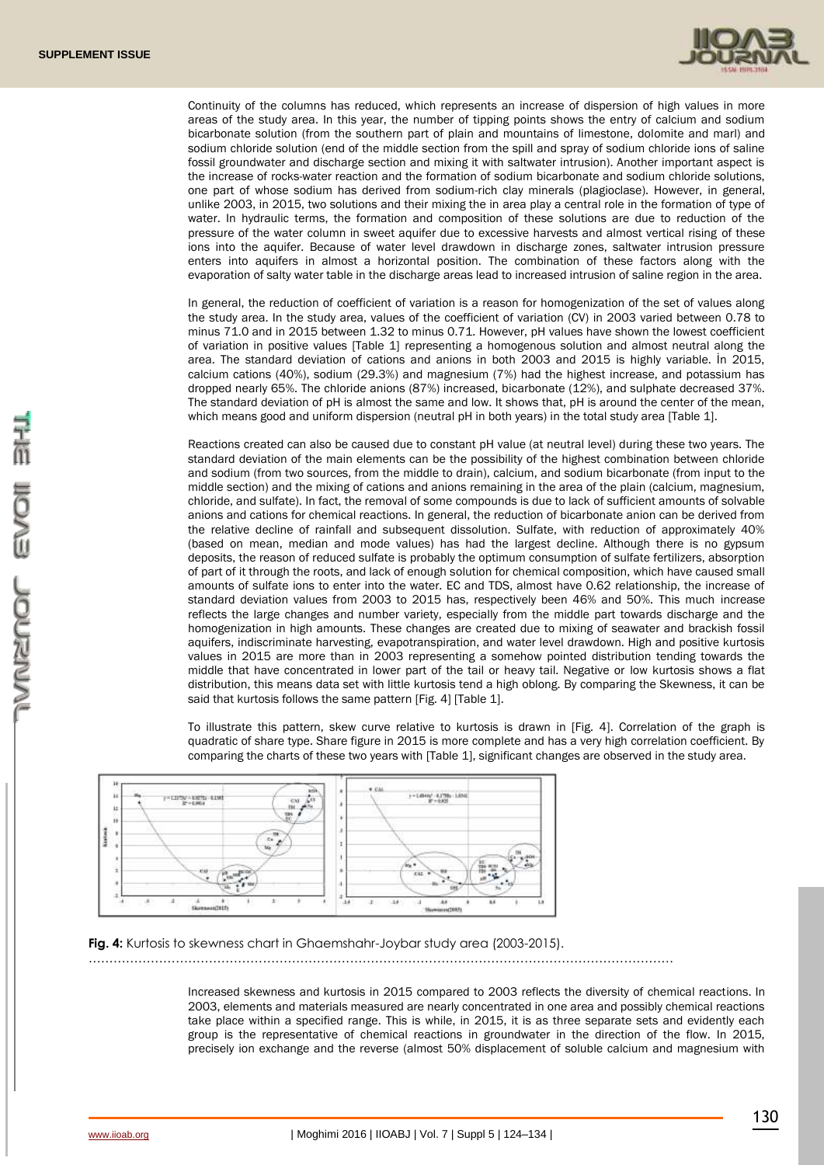

Continuity of the columns has reduced, which represents an increase of dispersion of high values in more areas of the study area. In this year, the number of tipping points shows the entry of calcium and sodium bicarbonate solution (from the southern part of plain and mountains of limestone, dolomite and marl) and sodium chloride solution (end of the middle section from the spill and spray of sodium chloride ions of saline fossil groundwater and discharge section and mixing it with saltwater intrusion). Another important aspect is the increase of rocks-water reaction and the formation of sodium bicarbonate and sodium chloride solutions, one part of whose sodium has derived from sodium-rich clay minerals (plagioclase). However, in general, unlike 2003, in 2015, two solutions and their mixing the in area play a central role in the formation of type of water. In hydraulic terms, the formation and composition of these solutions are due to reduction of the pressure of the water column in sweet aquifer due to excessive harvests and almost vertical rising of these ions into the aquifer. Because of water level drawdown in discharge zones, saltwater intrusion pressure enters into aquifers in almost a horizontal position. The combination of these factors along with the evaporation of salty water table in the discharge areas lead to increased intrusion of saline region in the area.

In general, the reduction of coefficient of variation is a reason for homogenization of the set of values along the study area. In the study area, values of the coefficient of variation (CV) in 2003 varied between 0.78 to minus 71.0 and in 2015 between 1.32 to minus 0.71. However, pH values have shown the lowest coefficient of variation in positive values [Table 1] representing a homogenous solution and almost neutral along the area. The standard deviation of cations and anions in both 2003 and 2015 is highly variable. İn 2015, calcium cations (40%), sodium (29.3%) and magnesium (7%) had the highest increase, and potassium has dropped nearly 65%. The chloride anions (87%) increased, bicarbonate (12%), and sulphate decreased 37%. The standard deviation of pH is almost the same and low. It shows that, pH is around the center of the mean, which means good and uniform dispersion (neutral pH in both years) in the total study area [Table 1].

Reactions created can also be caused due to constant pH value (at neutral level) during these two years. The standard deviation of the main elements can be the possibility of the highest combination between chloride and sodium (from two sources, from the middle to drain), calcium, and sodium bicarbonate (from input to the middle section) and the mixing of cations and anions remaining in the area of the plain (calcium, magnesium, chloride, and sulfate). In fact, the removal of some compounds is due to lack of sufficient amounts of solvable anions and cations for chemical reactions. In general, the reduction of bicarbonate anion can be derived from the relative decline of rainfall and subsequent dissolution. Sulfate, with reduction of approximately 40% (based on mean, median and mode values) has had the largest decline. Although there is no gypsum deposits, the reason of reduced sulfate is probably the optimum consumption of sulfate fertilizers, absorption of part of it through the roots, and lack of enough solution for chemical composition, which have caused small amounts of sulfate ions to enter into the water. EC and TDS, almost have 0.62 relationship, the increase of standard deviation values from 2003 to 2015 has, respectively been 46% and 50%. This much increase reflects the large changes and number variety, especially from the middle part towards discharge and the homogenization in high amounts. These changes are created due to mixing of seawater and brackish fossil aquifers, indiscriminate harvesting, evapotranspiration, and water level drawdown. High and positive kurtosis values in 2015 are more than in 2003 representing a somehow pointed distribution tending towards the middle that have concentrated in lower part of the tail or heavy tail. Negative or low kurtosis shows a flat distribution, this means data set with little kurtosis tend a high oblong. By comparing the Skewness, it can be said that kurtosis follows the same pattern [Fig. 4] [Table 1].

To illustrate this pattern, skew curve relative to kurtosis is drawn in [Fig. 4]. Correlation of the graph is quadratic of share type. Share figure in 2015 is more complete and has a very high correlation coefficient. By comparing the charts of these two years with [Table 1], significant changes are observed in the study area.



**Fig. 4:** Kurtosis to skewness chart in Ghaemshahr-Joybar study area (2003-2015).

……………………………………………………………………………………………………………………………

Increased skewness and kurtosis in 2015 compared to 2003 reflects the diversity of chemical reactions. In 2003, elements and materials measured are nearly concentrated in one area and possibly chemical reactions take place within a specified range. This is while, in 2015, it is as three separate sets and evidently each group is the representative of chemical reactions in groundwater in the direction of the flow. In 2015, precisely ion exchange and the reverse (almost 50% displacement of soluble calcium and magnesium with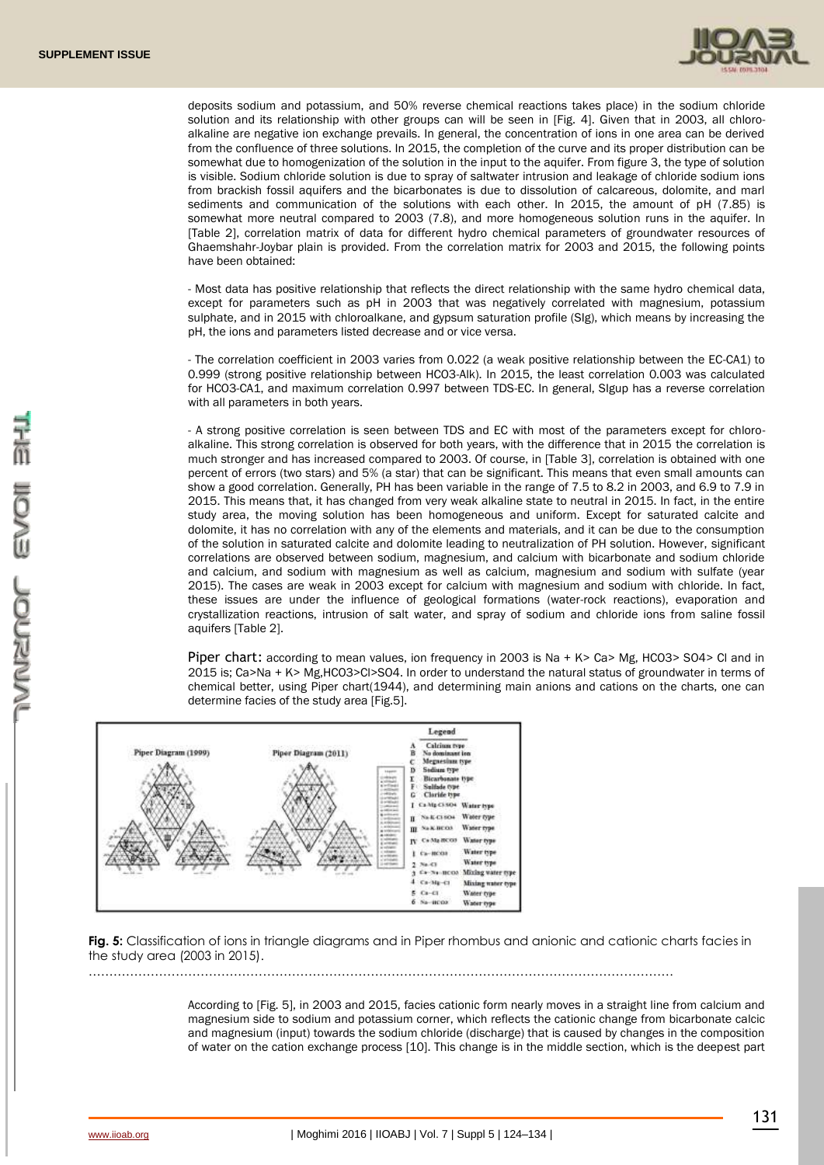

deposits sodium and potassium, and 50% reverse chemical reactions takes place) in the sodium chloride solution and its relationship with other groups can will be seen in [Fig. 4]. Given that in 2003, all chloroalkaline are negative ion exchange prevails. In general, the concentration of ions in one area can be derived from the confluence of three solutions. In 2015, the completion of the curve and its proper distribution can be somewhat due to homogenization of the solution in the input to the aquifer. From figure 3, the type of solution is visible. Sodium chloride solution is due to spray of saltwater intrusion and leakage of chloride sodium ions from brackish fossil aquifers and the bicarbonates is due to dissolution of calcareous, dolomite, and marl sediments and communication of the solutions with each other. In 2015, the amount of pH (7.85) is somewhat more neutral compared to 2003 (7.8), and more homogeneous solution runs in the aquifer. In [Table 2], correlation matrix of data for different hydro chemical parameters of groundwater resources of Ghaemshahr-Joybar plain is provided. From the correlation matrix for 2003 and 2015, the following points have been obtained:

- Most data has positive relationship that reflects the direct relationship with the same hydro chemical data, except for parameters such as pH in 2003 that was negatively correlated with magnesium, potassium sulphate, and in 2015 with chloroalkane, and gypsum saturation profile (SIg), which means by increasing the pH, the ions and parameters listed decrease and or vice versa.

- The correlation coefficient in 2003 varies from 0.022 (a weak positive relationship between the EC-CA1) to 0.999 (strong positive relationship between HCO3-Alk). In 2015, the least correlation 0.003 was calculated for HCO3-CA1, and maximum correlation 0.997 between TDS-EC. In general, SIgup has a reverse correlation with all parameters in both years.

- A strong positive correlation is seen between TDS and EC with most of the parameters except for chloroalkaline. This strong correlation is observed for both years, with the difference that in 2015 the correlation is much stronger and has increased compared to 2003. Of course, in [Table 3], correlation is obtained with one percent of errors (two stars) and 5% (a star) that can be significant. This means that even small amounts can show a good correlation. Generally, PH has been variable in the range of 7.5 to 8.2 in 2003, and 6.9 to 7.9 in 2015. This means that, it has changed from very weak alkaline state to neutral in 2015. In fact, in the entire study area, the moving solution has been homogeneous and uniform. Except for saturated calcite and dolomite, it has no correlation with any of the elements and materials, and it can be due to the consumption of the solution in saturated calcite and dolomite leading to neutralization of PH solution. However, significant correlations are observed between sodium, magnesium, and calcium with bicarbonate and sodium chloride and calcium, and sodium with magnesium as well as calcium, magnesium and sodium with sulfate (year 2015). The cases are weak in 2003 except for calcium with magnesium and sodium with chloride. In fact, these issues are under the influence of geological formations (water-rock reactions), evaporation and crystallization reactions, intrusion of salt water, and spray of sodium and chloride ions from saline fossil aquifers [Table 2].

Piper chart: according to mean values, ion frequency in 2003 is Na + K> Ca> Mg, HCO3> SO4> Cl and in 2015 is; Ca>Na + K> Mg,HCO3>Cl>SO4. In order to understand the natural status of groundwater in terms of chemical better, using Piper chart(1944), and determining main anions and cations on the charts, one can determine facies of the study area [Fig.5].



**Fig. 5:** Classification of ions in triangle diagrams and in Piper rhombus and anionic and cationic charts facies in the study area (2003 in 2015).

……………………………………………………………………………………………………………………………

According to [Fig. 5], in 2003 and 2015, facies cationic form nearly moves in a straight line from calcium and magnesium side to sodium and potassium corner, which reflects the cationic change from bicarbonate calcic and magnesium (input) towards the sodium chloride (discharge) that is caused by changes in the composition of water on the cation exchange process [10]. This change is in the middle section, which is the deepest part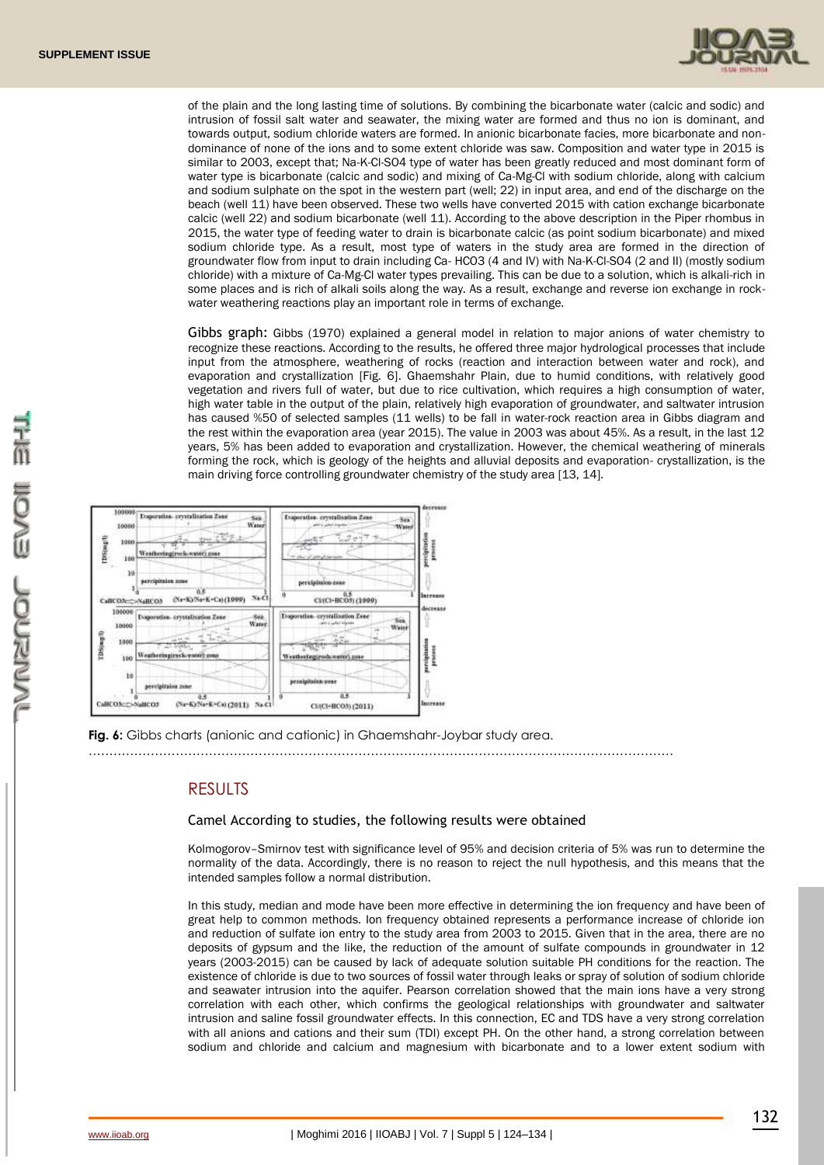

of the plain and the long lasting time of solutions. By combining the bicarbonate water (calcic and sodic) and intrusion of fossil salt water and seawater, the mixing water are formed and thus no ion is dominant, and towards output, sodium chloride waters are formed. In anionic bicarbonate facies, more bicarbonate and nondominance of none of the ions and to some extent chloride was saw. Composition and water type in 2015 is similar to 2003, except that; Na-K-Cl-SO4 type of water has been greatly reduced and most dominant form of water type is bicarbonate (calcic and sodic) and mixing of Ca-Mg-Cl with sodium chloride, along with calcium and sodium sulphate on the spot in the western part (well; 22) in input area, and end of the discharge on the beach (well 11) have been observed. These two wells have converted 2015 with cation exchange bicarbonate calcic (well 22) and sodium bicarbonate (well 11). According to the above description in the Piper rhombus in 2015, the water type of feeding water to drain is bicarbonate calcic (as point sodium bicarbonate) and mixed sodium chloride type. As a result, most type of waters in the study area are formed in the direction of groundwater flow from input to drain including Ca- HCO3 (4 and IV) with Na-K-Cl-SO4 (2 and II) (mostly sodium chloride) with a mixture of Ca-Mg-Cl water types prevailing. This can be due to a solution, which is alkali-rich in some places and is rich of alkali soils along the way. As a result, exchange and reverse ion exchange in rockwater weathering reactions play an important role in terms of exchange.

Gibbs graph: Gibbs (1970) explained a general model in relation to major anions of water chemistry to recognize these reactions. According to the results, he offered three major hydrological processes that include input from the atmosphere, weathering of rocks (reaction and interaction between water and rock), and evaporation and crystallization [Fig. 6]. Ghaemshahr Plain, due to humid conditions, with relatively good vegetation and rivers full of water, but due to rice cultivation, which requires a high consumption of water, high water table in the output of the plain, relatively high evaporation of groundwater, and saltwater intrusion has caused %50 of selected samples (11 wells) to be fall in water-rock reaction area in Gibbs diagram and the rest within the evaporation area (year 2015). The value in 2003 was about 45%. As a result, in the last 12 years, 5% has been added to evaporation and crystallization. However, the chemical weathering of minerals forming the rock, which is geology of the heights and alluvial deposits and evaporation- crystallization, is the main driving force controlling groundwater chemistry of the study area [13, 14].



**Fig. 6:** Gibbs charts (anionic and cationic) in Ghaemshahr-Joybar study area.

……………………………………………………………………………………………………………………………

## **RESULTS**

### Camel According to studies, the following results were obtained

Kolmogorov–Smirnov test with significance level of 95% and decision criteria of 5% was run to determine the normality of the data. Accordingly, there is no reason to reject the null hypothesis, and this means that the intended samples follow a normal distribution.

In this study, median and mode have been more effective in determining the ion frequency and have been of great help to common methods. Ion frequency obtained represents a performance increase of chloride ion and reduction of sulfate ion entry to the study area from 2003 to 2015. Given that in the area, there are no deposits of gypsum and the like, the reduction of the amount of sulfate compounds in groundwater in 12 years (2003-2015) can be caused by lack of adequate solution suitable PH conditions for the reaction. The existence of chloride is due to two sources of fossil water through leaks or spray of solution of sodium chloride and seawater intrusion into the aquifer. Pearson correlation showed that the main ions have a very strong correlation with each other, which confirms the geological relationships with groundwater and saltwater intrusion and saline fossil groundwater effects. In this connection, EC and TDS have a very strong correlation with all anions and cations and their sum (TDI) except PH. On the other hand, a strong correlation between sodium and chloride and calcium and magnesium with bicarbonate and to a lower extent sodium with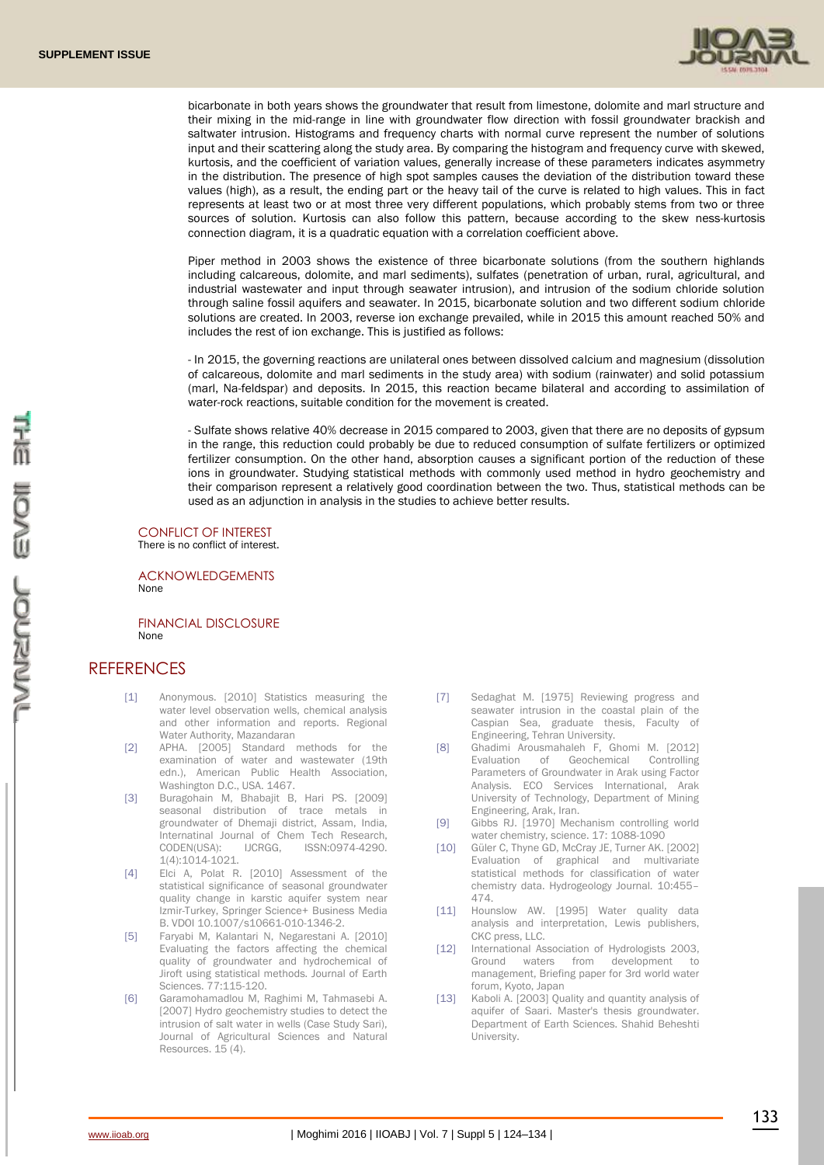

bicarbonate in both years shows the groundwater that result from limestone, dolomite and marl structure and their mixing in the mid-range in line with groundwater flow direction with fossil groundwater brackish and saltwater intrusion. Histograms and frequency charts with normal curve represent the number of solutions input and their scattering along the study area. By comparing the histogram and frequency curve with skewed, kurtosis, and the coefficient of variation values, generally increase of these parameters indicates asymmetry in the distribution. The presence of high spot samples causes the deviation of the distribution toward these values (high), as a result, the ending part or the heavy tail of the curve is related to high values. This in fact represents at least two or at most three very different populations, which probably stems from two or three sources of solution. Kurtosis can also follow this pattern, because according to the skew ness-kurtosis connection diagram, it is a quadratic equation with a correlation coefficient above.

Piper method in 2003 shows the existence of three bicarbonate solutions (from the southern highlands including calcareous, dolomite, and marl sediments), sulfates (penetration of urban, rural, agricultural, and industrial wastewater and input through seawater intrusion), and intrusion of the sodium chloride solution through saline fossil aquifers and seawater. In 2015, bicarbonate solution and two different sodium chloride solutions are created. In 2003, reverse ion exchange prevailed, while in 2015 this amount reached 50% and includes the rest of ion exchange. This is justified as follows:

- In 2015, the governing reactions are unilateral ones between dissolved calcium and magnesium (dissolution of calcareous, dolomite and marl sediments in the study area) with sodium (rainwater) and solid potassium (marl, Na-feldspar) and deposits. In 2015, this reaction became bilateral and according to assimilation of water-rock reactions, suitable condition for the movement is created.

- Sulfate shows relative 40% decrease in 2015 compared to 2003, given that there are no deposits of gypsum in the range, this reduction could probably be due to reduced consumption of sulfate fertilizers or optimized fertilizer consumption. On the other hand, absorption causes a significant portion of the reduction of these ions in groundwater. Studying statistical methods with commonly used method in hydro geochemistry and their comparison represent a relatively good coordination between the two. Thus, statistical methods can be used as an adjunction in analysis in the studies to achieve better results.

## CONFLICT OF INTEREST

There is no conflict of interest.

ACKNOWLEDGEMENTS None

FINANCIAL DISCLOSURE None

## **REFERENCES**

- [1] Anonymous. [2010] Statistics measuring the water level observation wells, chemical analysis and other information and reports. Regional Water Authority, Mazandaran
- [2] APHA. [2005] Standard methods for the examination of water and wastewater (19th edn.), American Public Health Association, Washington D.C., USA. 1467.
- [3] Buragohain M, Bhabajit B, Hari PS. [2009] seasonal distribution of trace metals in groundwater of Dhemaji district, Assam, India, Internatinal Journal of Chem Tech Research,<br>CODEN(USA): IJCRGG, ISSN:0974-4290. CODEN(USA): IJCRGG, ISSN:0974-4290. 1(4):1014-1021.
- [4] Elci A, Polat R. [2010] Assessment of the statistical significance of seasonal groundwater quality change in karstic aquifer system near Izmir-Turkey, Springer Science+ Business Media B. VDOI 10.1007/s10661-010-1346-2.
- [5] Faryabi M, Kalantari N, Negarestani A. [2010] Evaluating the factors affecting the chemical quality of groundwater and hydrochemical of Jiroft using statistical methods. Journal of Earth Sciences. 77:115-120.
- [6] Garamohamadlou M, Raghimi M, Tahmasebi A. [2007] Hydro geochemistry studies to detect the intrusion of salt water in wells (Case Study Sari), Journal of Agricultural Sciences and Natural Resources. 15 (4).
- [7] Sedaghat M. [1975] Reviewing progress and seawater intrusion in the coastal plain of the Caspian Sea, graduate thesis, Faculty of Engineering, Tehran University.
- [8] Ghadimi Arousmahaleh F, Ghomi M. [2012] Evaluation of Geochemical Controlling Parameters of Groundwater in Arak using Factor Analysis. ECO Services International, Arak University of Technology, Department of Mining Engineering, Arak, Iran.
- [9] Gibbs RJ. [1970] Mechanism controlling world water chemistry, science. 17: 1088-1090
- [10] Güler C, Thyne GD, McCray JE, Turner AK. [2002] Evaluation of graphical and multivariate statistical methods for classification of water chemistry data. Hydrogeology Journal. 10:455– 474.
- [11] Hounslow AW. [1995] Water quality data analysis and interpretation, Lewis publishers, CKC press, LLC.
- [12] International Association of Hydrologists 2003, Ground waters from development to management, Briefing paper for 3rd world water forum, Kyoto, Japan
- [13] Kaboli A. [2003] Quality and quantity analysis of aquifer of Saari. Master's thesis groundwater. Department of Earth Sciences. Shahid Beheshti University.